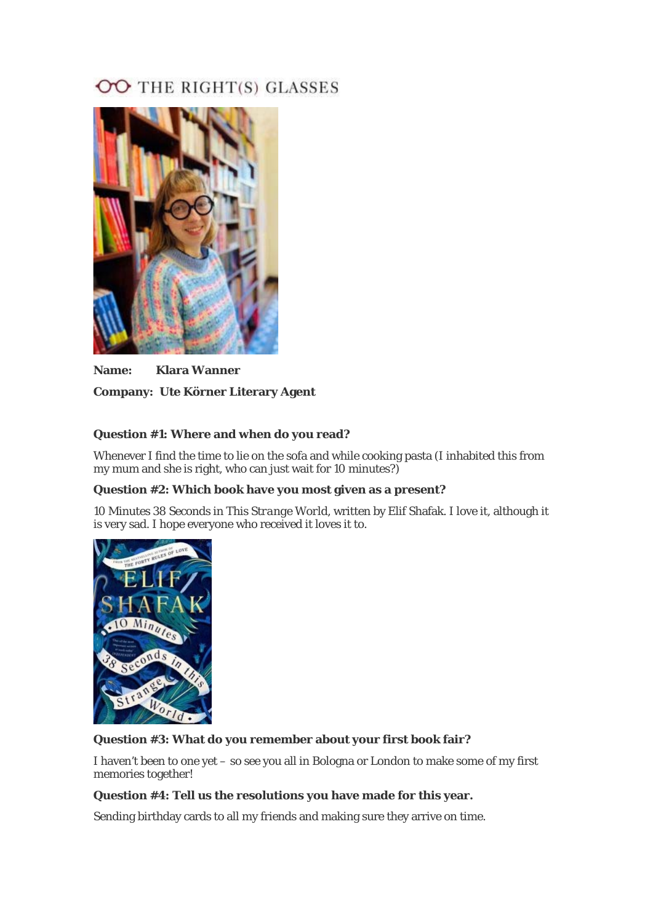# OO THE RIGHT(S) GLASSES



**Name: Klara Wanner Company: Ute Körner Literary Agent** 

## **Question #1: Where and when do you read?**

Whenever I find the time to lie on the sofa and while cooking pasta (I inhabited this from my mum and she is right, who can just wait for 10 minutes?)

## **Question #2: Which book have you most given as a present?**

*10 Minutes 38 Seconds in This Strange World*, written by Elif Shafak. I love it, although it is very sad. I hope everyone who received it loves it to.



## **Question #3: What do you remember about your first book fair?**

I haven't been to one yet – so see you all in Bologna or London to make some of my first memories together!

#### **Question #4: Tell us the resolutions you have made for this year.**

Sending birthday cards to all my friends and making sure they arrive on time.